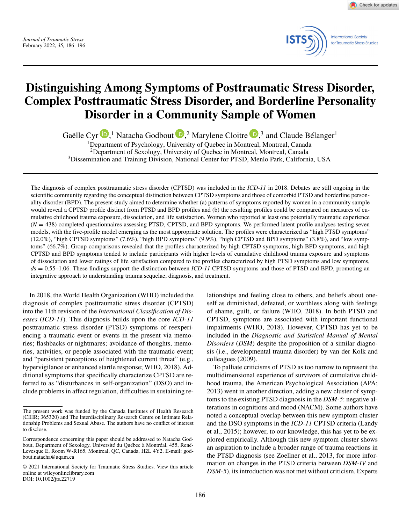Check for updates



# **Distinguishing Among Symptoms of Posttraumatic Stress Disorder, Complex Posttraumatic Stress Disorder, and Borderline Personality Disorder in a Community Sample of Women**

Gaëlle Cyr  $\mathbb{D}$ [,](https://orcid.org/0000-0001-8029-1570)<sup>1</sup> Natacha Godbout  $\mathbb{D}$ ,<sup>2</sup> Marylene Cloitre  $\mathbb{D}$ ,<sup>3</sup> and Claude Bélanger<sup>1</sup>

<sup>1</sup>Department of Psychology, University of Quebec in Montreal, Montreal, Canada <sup>2</sup>Department of Sexology, University of Quebec in Montreal, Montreal, Canada 3Dissemination and Training Division, National Center for PTSD, Menlo Park, California, USA

The diagnosis of complex posttraumatic stress disorder (CPTSD) was included in the *ICD-11* in 2018. Debates are still ongoing in the scientific community regarding the conceptual distinction between CPTSD symptoms and those of comorbid PTSD and borderline personality disorder (BPD). The present study aimed to determine whether (a) patterns of symptoms reported by women in a community sample would reveal a CPTSD profile distinct from PTSD and BPD profiles and (b) the resulting profiles could be compared on measures of cumulative childhood trauma exposure, dissociation, and life satisfaction. Women who reported at least one potentially traumatic experience (*N* = 438) completed questionnaires assessing PTSD, CPTSD, and BPD symptoms. We performed latent profile analyses testing seven models, with the five-profile model emerging as the most appropriate solution. The profiles were characterized as "high PTSD symptoms"  $(12.0\%)$ , "high CPTSD symptoms"  $(7.6\%)$ , "high BPD symptoms"  $(9.9\%)$ , "high CPTSD and BPD symptoms"  $(3.8\%)$ , and "low symptoms" (66.7%). Group comparisons revealed that the profiles characterized by high CPTSD symptoms, high BPD symptoms, and high CPTSD and BPD symptoms tended to include participants with higher levels of cumulative childhood trauma exposure and symptoms of dissociation and lower ratings of life satisfaction compared to the profiles characterized by high PTSD symptoms and low symptoms, *d*s = 0.55–1.06. These findings support the distinction between *ICD-11* CPTSD symptoms and those of PTSD and BPD, promoting an integrative approach to understanding trauma sequelae, diagnosis, and treatment.

In 2018, the World Health Organization (WHO) included the diagnosis of complex posttraumatic stress disorder (CPTSD) into the 11th revision of the *International Classification of Diseases* (*ICD-11*). This diagnosis builds upon the core *ICD-11* posttraumatic stress disorder (PTSD) symptoms of reexperiencing a traumatic event or events in the present via memories; flashbacks or nightmares; avoidance of thoughts, memories, activities, or people associated with the traumatic event; and "persistent perceptions of heightened current threat" (e.g., hypervigilance or enhanced startle response; WHO, 2018). Additional symptoms that specifically characterize CPTSD are referred to as "disturbances in self-organization" (DSO) and include problems in affect regulation, difficulties in sustaining relationships and feeling close to others, and beliefs about oneself as diminished, defeated, or worthless along with feelings of shame, guilt, or failure (WHO, 2018). In both PTSD and CPTSD, symptoms are associated with important functional impairments (WHO, 2018). However, CPTSD has yet to be included in the *Diagnostic and Statistical Manual of Mental Disorders* (*DSM*) despite the proposition of a similar diagnosis (i.e., developmental trauma disorder) by van der Kolk and colleagues (2009).

To palliate criticisms of PTSD as too narrow to represent the multidimensional experience of survivors of cumulative childhood trauma, the American Psychological Association (APA; 2013) went in another direction, adding a new cluster of symptoms to the existing PTSD diagnosis in the *DSM-5*: negative alterations in cognitions and mood (NACM). Some authors have noted a conceptual overlap between this new symptom cluster and the DSO symptoms in the *ICD-11* CPTSD criteria (Landy et al., 2015); however, to our knowledge, this has yet to be explored empirically. Although this new symptom cluster shows an aspiration to include a broader range of trauma reactions in the PTSD diagnosis (see Zoellner et al., 2013, for more information on changes in the PTSD criteria between *DSM-IV* and *DSM-5*), its introduction was not met without criticism. Experts

The present work was funded by the Canada Institutes of Health Research (CIHR; 365320) and The Interdisciplinary Research Centre on Intimate Relationship Problems and Sexual Abuse. The authors have no conflict of interest to disclose.

Correspondence concerning this paper should be addressed to Natacha Godbout, Department of Sexology, Université du Québec à Montréal, 455, René-Levesque E, Room W-R165, Montreal, QC, Canada, H2L 4Y2. E-mail: godbout.natacha@uqam.ca

<sup>© 2021</sup> International Society for Traumatic Stress Studies. View this article online at wileyonlinelibrary.com DOI: 10.1002/jts.22719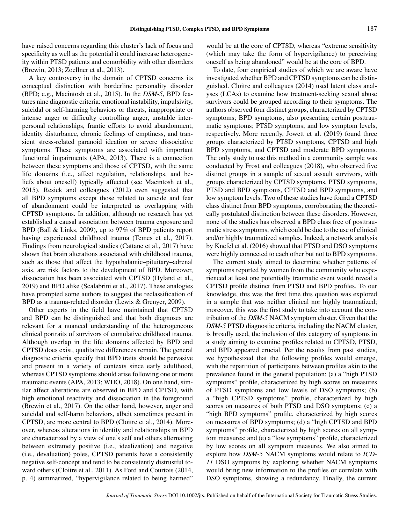have raised concerns regarding this cluster's lack of focus and specificity as well as the potential it could increase heterogeneity within PTSD patients and comorbidity with other disorders (Brewin, 2013; Zoellner et al., 2013).

A key controversy in the domain of CPTSD concerns its conceptual distinction with borderline personality disorder (BPD; e.g., Macintosh et al., 2015). In the *DSM-5*, BPD features nine diagnostic criteria: emotional instability, impulsivity, suicidal or self-harming behaviors or threats, inappropriate or intense anger or difficulty controlling anger, unstable interpersonal relationships, frantic efforts to avoid abandonment, identity disturbance, chronic feelings of emptiness, and transient stress-related paranoid ideation or severe dissociative symptoms. These symptoms are associated with important functional impairments (APA, 2013). There is a connection between these symptoms and those of CPTSD, with the same life domains (i.e., affect regulation, relationships, and beliefs about oneself) typically affected (see Macintosh et al., 2015). Resick and colleagues (2012) even suggested that all BPD symptoms except those related to suicide and fear of abandonment could be interpreted as overlapping with CPTSD symptoms. In addition, although no research has yet established a causal association between trauma exposure and BPD (Ball & Links, 2009), up to 97% of BPD patients report having experienced childhood trauma (Temes et al., 2017). Findings from neurological studies (Cattane et al., 2017) have shown that brain alterations associated with childhood trauma, such as those that affect the hypothalamic–pituitary–adrenal axis, are risk factors to the development of BPD. Moreover, dissociation has been associated with CPTSD (Hyland et al., 2019) and BPD alike (Scalabrini et al., 2017). These analogies have prompted some authors to suggest the reclassification of BPD as a trauma-related disorder (Lewis & Grenyer, 2009).

Other experts in the field have maintained that CPTSD and BPD can be distinguished and that both diagnoses are relevant for a nuanced understanding of the heterogeneous clinical portraits of survivors of cumulative childhood trauma. Although overlap in the life domains affected by BPD and CPTSD does exist, qualitative differences remain. The general diagnostic criteria specify that BPD traits should be pervasive and present in a variety of contexts since early adulthood, whereas CPTSD symptoms should arise following one or more traumatic events (APA, 2013; WHO, 2018). On one hand, similar affect alterations are observed in BPD and CPTSD, with high emotional reactivity and dissociation in the foreground (Brewin et al., 2017). On the other hand, however, anger and suicidal and self-harm behaviors, albeit sometimes present in CPTSD, are more central to BPD (Cloitre et al., 2014). Moreover, whereas alterations in identity and relationships in BPD are characterized by a view of one's self and others alternating between extremely positive (i.e., idealization) and negative (i.e., devaluation) poles, CPTSD patients have a consistently negative self-concept and tend to be consistently distrustful toward others (Cloitre et al., 2011). As Ford and Courtois (2014, p. 4) summarized, "hypervigilance related to being harmed"

would be at the core of CPTSD, whereas "extreme sensitivity (which may take the form of hypervigilance) to perceiving oneself as being abandoned" would be at the core of BPD.

To date, four empirical studies of which we are aware have investigated whether BPD and CPTSD symptoms can be distinguished. Cloitre and colleagues (2014) used latent class analyses (LCAs) to examine how treatment-seeking sexual abuse survivors could be grouped according to their symptoms. The authors observed four distinct groups, characterized by CPTSD symptoms; BPD symptoms, also presenting certain posttraumatic symptoms; PTSD symptoms; and low symptom levels, respectively. More recently, Jowett et al. (2019) found three groups characterized by PTSD symptoms, CPTSD and high BPD symptoms, and CPTSD and moderate BPD symptoms. The only study to use this method in a community sample was conducted by Frost and colleagues (2018), who observed five distinct groups in a sample of sexual assault survivors, with groups characterized by CPTSD symptoms, PTSD symptoms, PTSD and BPD symptoms, CPTSD and BPD symptoms, and low symptom levels. Two of these studies have found a CPTSD class distinct from BPD symptoms, corroborating the theoretically postulated distinction between these disorders. However, none of the studies has observed a BPD class free of posttraumatic stress symptoms, which could be due to the use of clinical and/or highly traumatized samples. Indeed, a network analysis by Knefel et al. (2016) showed that PTSD and DSO symptoms were highly connected to each other but not to BPD symptoms.

The current study aimed to determine whether patterns of symptoms reported by women from the community who experienced at least one potentially traumatic event would reveal a CPTSD profile distinct from PTSD and BPD profiles. To our knowledge, this was the first time this question was explored in a sample that was neither clinical nor highly traumatized; moreover, this was the first study to take into account the contribution of the *DSM-5* NACM symptom cluster. Given that the *DSM-5* PTSD diagnostic criteria, including the NACM cluster, is broadly used, the inclusion of this category of symptoms in a study aiming to examine profiles related to CPTSD, PTSD, and BPD appeared crucial. Per the results from past studies, we hypothesized that the following profiles would emerge, with the repartition of participants between profiles akin to the prevalence found in the general population: (a) a "high PTSD symptoms" profile, characterized by high scores on measures of PTSD symptoms and low levels of DSO symptoms; (b) a "high CPTSD symptoms" profile, characterized by high scores on measures of both PTSD and DSO symptoms; (c) a "high BPD symptoms" profile, characterized by high scores on measures of BPD symptoms; (d) a "high CPTSD and BPD symptoms" profile, characterized by high scores on all symptom measures; and (e) a "low symptoms" profile, characterized by low scores on all symptom measures. We also aimed to explore how *DSM-5* NACM symptoms would relate to *ICD-11* DSO symptoms by exploring whether NACM symptoms would bring new information to the profiles or correlate with DSO symptoms, showing a redundancy. Finally, the current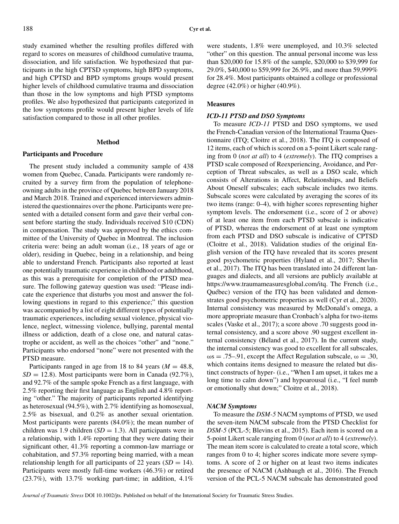study examined whether the resulting profiles differed with regard to scores on measures of childhood cumulative trauma, dissociation, and life satisfaction. We hypothesized that participants in the high CPTSD symptoms, high BPD symptoms, and high CPTSD and BPD symptoms groups would present higher levels of childhood cumulative trauma and dissociation than those in the low symptoms and high PTSD symptoms profiles. We also hypothesized that participants categorized in the low symptoms profile would present higher levels of life satisfaction compared to those in all other profiles.

## **Method**

## **Participants and Procedure**

The present study included a community sample of 438 women from Quebec, Canada. Participants were randomly recruited by a survey firm from the population of telephoneowning adults in the province of Quebec between January 2018 and March 2018. Trained and experienced interviewers administered the questionnaires over the phone. Participants were presented with a detailed consent form and gave their verbal consent before starting the study. Individuals received \$10 (CDN) in compensation. The study was approved by the ethics committee of the University of Quebec in Montreal. The inclusion criteria were: being an adult woman (i.e., 18 years of age or older), residing in Quebec, being in a relationship, and being able to understand French. Participants also reported at least one potentially traumatic experience in childhood or adulthood, as this was a prerequisite for completion of the PTSD measure. The following gateway question was used: "Please indicate the experience that disturbs you most and answer the following questions in regard to this experience;" this question was accompanied by a list of eight different types of potentially traumatic experiences, including sexual violence, physical violence, neglect, witnessing violence, bullying, parental mental illness or addiction, death of a close one, and natural catastrophe or accident, as well as the choices "other" and "none." Participants who endorsed "none" were not presented with the PTSD measure.

Participants ranged in age from 18 to 84 years ( $M = 48.8$ ),  $SD = 12.8$ ). Most participants were born in Canada (92.7%), and 92.7% of the sample spoke French as a first language, with 2.5% reporting their first language as English and 4.8% reporting "other." The majority of participants reported identifying as heterosexual (94.5%), with 2.7% identifying as homosexual, 2.5% as bisexual, and 0.2% as another sexual orientation. Most participants were parents (84.0%); the mean number of children was 1.9 children  $(SD = 1.3)$ . All participants were in a relationship, with 1.4% reporting that they were dating their significant other, 41.3% reporting a common-law marriage or cohabitation, and 57.3% reporting being married, with a mean relationship length for all participants of 22 years  $(SD = 14)$ . Participants were mostly full-time workers (46.3%) or retired (23.7%), with 13.7% working part-time; in addition, 4.1% were students, 1.8% were unemployed, and 10.3% selected "other" on this question. The annual personal income was less than \$20,000 for 15.8% of the sample, \$20,000 to \$39,999 for 29.0%, \$40,000 to \$59,999 for 26.9%, and more than 59,999% for 28.4%. Most participants obtained a college or professional degree (42.0%) or higher (40.9%).

## **Measures**

#### *ICD-11 PTSD and DSO Symptoms*

To measure *ICD-11* PTSD and DSO symptoms, we used the French-Canadian version of the International Trauma Questionnaire (ITQ; Cloitre et al., 2018). The ITQ is composed of 12 items, each of which is scored on a 5-point Likert scale ranging from 0 (*not at all*) to 4 (*extremely*). The ITQ comprises a PTSD scale composed of Reexperiencing, Avoidance, and Perception of Threat subscales, as well as a DSO scale, which consists of Alterations in Affect, Relationships, and Beliefs About Oneself subscales; each subscale includes two items. Subscale scores were calculated by averaging the scores of its two items (range: 0–4), with higher scores representing higher symptom levels. The endorsement (i.e., score of 2 or above) of at least one item from each PTSD subscale is indicative of PTSD, whereas the endorsement of at least one symptom from each PTSD and DSO subscale is indicative of CPTSD (Cloitre et al., 2018). Validation studies of the original English version of the ITQ have revealed that its scores present good psychometric properties (Hyland et al., 2017; Shevlin et al., 2017). The ITQ has been translated into 24 different languages and dialects, and all versions are publicly available at https://www.traumameasuresglobal.com/itq. The French (i.e., Québec) version of the ITQ has been validated and demonstrates good psychometric properties as well (Cyr et al., 2020). Internal consistency was measured by McDonald's omega, a more appropriate measure than Cronbach's alpha for two-items scales (Vaske et al., 2017); a score above .70 suggests good internal consistency, and a score above .90 suggest excellent internal consistency (Béland et al., 2017). In the current study, the internal consistency was good to excellent for all subscales,  $\omega$ s = .75–.91, except the Affect Regulation subscale,  $\omega = .30$ , which contains items designed to measure the related but distinct constructs of hyper- (i.e., "When I am upset, it takes me a long time to calm down") and hypoarousal (i.e., "I feel numb or emotionally shut down;" Cloitre et al., 2018).

## *NACM Symptoms*

To measure the *DSM-5* NACM symptoms of PTSD, we used the seven-item NACM subscale from the PTSD Checklist for *DSM-5* (PCL-5; Blevins et al., 2015). Each item is scored on a 5-point Likert scale ranging from 0 (*not at all*) to 4 (*extremely*). The mean item score is calculated to create a total score, which ranges from 0 to 4; higher scores indicate more severe symptoms. A score of 2 or higher on at least two items indicates the presence of NACM (Ashbaugh et al., 2016). The French version of the PCL-5 NACM subscale has demonstrated good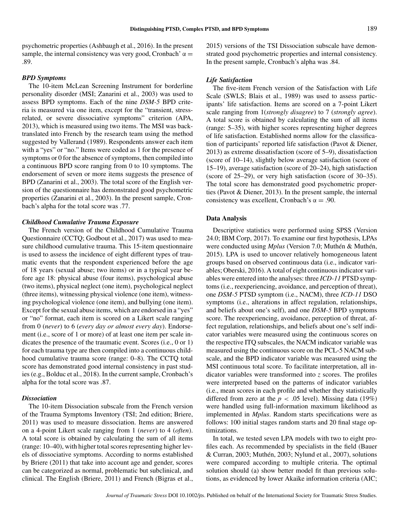psychometric properties (Ashbaugh et al., 2016). In the present sample, the internal consistency was very good, Cronbach'  $\alpha$  = .89.

## *BPD Symptoms*

The 10-item McLean Screening Instrument for borderline personality disorder (MSI; Zanarini et al., 2003) was used to assess BPD symptoms. Each of the nine *DSM-5* BPD criteria is measured via one item, except for the "transient, stressrelated, or severe dissociative symptoms" criterion (APA, 2013), which is measured using two items. The MSI was backtranslated into French by the research team using the method suggested by Vallerand (1989). Respondents answer each item with a "yes" or "no." Items were coded as 1 for the presence of symptoms or 0 for the absence of symptoms, then compiled into a continuous BPD score ranging from 0 to 10 symptoms. The endorsement of seven or more items suggests the presence of BPD (Zanarini et al., 2003). The total score of the English version of the questionnaire has demonstrated good psychometric properties (Zanarini et al., 2003). In the present sample, Cronbach's alpha for the total score was .77.

## *Childhood Cumulative Trauma Exposure*

The French version of the Childhood Cumulative Trauma Questionnaire (CCTQ; Godbout et al., 2017) was used to measure childhood cumulative trauma. This 15-item questionnaire is used to assess the incidence of eight different types of traumatic events that the respondent experienced before the age of 18 years (sexual abuse; two items) or in a typical year before age 18: physical abuse (four items), psychological abuse (two items), physical neglect (one item), psychological neglect (three items), witnessing physical violence (one item), witnessing psychological violence (one item), and bullying (one item). Except for the sexual abuse items, which are endorsed in a "yes" or "no" format, each item is scored on a Likert scale ranging from 0 (*never*) to 6 (*every day or almost every day*). Endorsement (i.e., score of 1 or more) of at least one item per scale indicates the presence of the traumatic event. Scores (i.e., 0 or 1) for each trauma type are then compiled into a continuous childhood cumulative trauma score (range: 0–8). The CCTQ total score has demonstrated good internal consistency in past studies (e.g., Bolduc et al., 2018). In the current sample, Cronbach's alpha for the total score was .87.

## *Dissociation*

The 10-item Dissociation subscale from the French version of the Trauma Symptoms Inventory (TSI; 2nd edition; Briere, 2011) was used to measure dissociation. Items are answered on a 4-point Likert scale ranging from 1 (*never*) to 4 (*often*). A total score is obtained by calculating the sum of all items (range: 10–40), with higher total scores representing higher levels of dissociative symptoms. According to norms established by Briere (2011) that take into account age and gender, scores can be categorized as normal, problematic but subclinical, and clinical. The English (Briere, 2011) and French (Bigras et al.,

2015) versions of the TSI Dissociation subscale have demonstrated good psychometric properties and internal consistency. In the present sample, Cronbach's alpha was .84.

# *Life Satisfaction*

The five-item French version of the Satisfaction with Life Scale (SWLS; Blais et al., 1989) was used to assess participants' life satisfaction. Items are scored on a 7-point Likert scale ranging from 1(*strongly disagree*) to 7 (*strongly agree*). A total score is obtained by calculating the sum of all items (range: 5–35), with higher scores representing higher degrees of life satisfaction. Established norms allow for the classification of participants' reported life satisfaction (Pavot & Diener, 2013) as extreme dissatisfaction (score of 5–9), dissatisfaction (score of 10–14), slightly below average satisfaction (score of 15–19), average satisfaction (score of 20–24), high satisfaction (score of 25–29), or very high satisfaction (score of 30–35). The total score has demonstrated good psychometric properties (Pavot & Diener, 2013). In the present sample, the internal consistency was excellent, Cronbach's  $\alpha = .90$ .

#### **Data Analysis**

Descriptive statistics were performed using SPSS (Version 24.0; IBM Corp, 2017). To examine our first hypothesis, LPAs were conducted using *Mplus* (Version 7.0; Muthén & Muthén, 2015). LPA is used to uncover relatively homogeneous latent groups based on observed continuous data (i.e., indicator variables; Oberski, 2016). A total of eight continuous indicator variables were entered into the analyses: three *ICD-11* PTSD symptoms (i.e., reexperiencing, avoidance, and perception of threat), one *DSM-5* PTSD symptom (i.e., NACM), three *ICD-11* DSO symptoms (i.e., alterations in affect regulation, relationships, and beliefs about one's self), and one *DSM-5* BPD symptoms score. The reexperiencing, avoidance, perception of threat, affect regulation, relationships, and beliefs about one's self indicator variables were measured using the continuous scores on the respective ITQ subscales, the NACM indicator variable was measured using the continuous score on the PCL-5 NACM subscale, and the BPD indicator variable was measured using the MSI continuous total score. To facilitate interpretation, all indicator variables were transformed into *z* scores. The profiles were interpreted based on the patterns of indicator variables (i.e., mean scores in each profile and whether they statistically differed from zero at the  $p < .05$  level). Missing data (19%) were handled using full-information maximum likelihood as implemented in *Mplus*. Random starts specifications were as follows: 100 initial stages random starts and 20 final stage optimizations.

In total, we tested seven LPA models with two to eight profiles each. As recommended by specialists in the field (Bauer & Curran, 2003; Muthén, 2003; Nylund et al., 2007), solutions were compared according to multiple criteria. The optimal solution should (a) show better model fit than previous solutions, as evidenced by lower Akaike information criteria (AIC;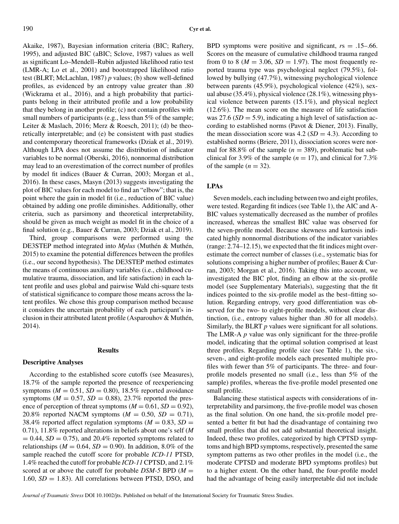Akaike, 1987), Bayesian information criteria (BIC; Raftery, 1995), and adjusted BIC (aBIC; Sclove, 1987) values as well as significant Lo–Mendell–Rubin adjusted likelihood ratio test (LMR-A; Lo et al., 2001) and bootstrapped likelihood ratio test (BLRT; McLachlan, 1987) *p* values; (b) show well-defined profiles, as evidenced by an entropy value greater than .80 (Wickrama et al., 2016), and a high probability that participants belong in their attributed profile and a low probability that they belong in another profile; (c) not contain profiles with small numbers of participants (e.g., less than 5% of the sample; Leiter & Maslach, 2016; Merz & Roesch, 2011); (d) be theoretically interpretable; and (e) be consistent with past studies and contemporary theoretical frameworks (Dziak et al., 2019). Although LPA does not assume the distribution of indicator variables to be normal (Oberski, 2016), nonnormal distribution may lead to an overestimation of the correct number of profiles by model fit indices (Bauer & Curran, 2003; Morgan et al., 2016). In these cases, Masyn (2013) suggests investigating the plot of BIC values for each model to find an "elbow"; that is, the point where the gain in model fit (i.e., reduction of BIC value) obtained by adding one profile diminishes. Additionally, other criteria, such as parsimony and theoretical interpretability, should be given as much weight as model fit in the choice of a final solution (e.g., Bauer & Curran, 2003; Dziak et al., 2019).

Third, group comparisons were performed using the DE3STEP method integrated into *Mplus* (Muthén & Muthén, 2015) to examine the potential differences between the profiles (i.e., our second hypothesis). The DE3STEP method estimates the means of continuous auxiliary variables (i.e., childhood cumulative trauma, dissociation, and life satisfaction) in each latent profile and uses global and pairwise Wald chi-square tests of statistical significance to compare those means across the latent profiles. We chose this group comparison method because it considers the uncertain probability of each participant's inclusion in their attributed latent profile (Asparouhov & Muthén, 2014).

# **Results**

# **Descriptive Analyses**

According to the established score cutoffs (see Measures), 18.7% of the sample reported the presence of reexperiencing symptoms ( $M = 0.51$ ,  $SD = 0.80$ ), 18.5% reported avoidance symptoms ( $M = 0.57$ ,  $SD = 0.88$ ), 23.7% reported the presence of perception of threat symptoms  $(M = 0.61, SD = 0.92)$ , 20.8% reported NACM symptoms  $(M = 0.50, SD = 0.71)$ , 38.4% reported affect regulation symptoms ( $M = 0.83$ ,  $SD =$ 0.71), 11.8% reported alterations in beliefs about one's self (*M*  $= 0.44$ , *SD*  $= 0.75$ ), and 20.4% reported symptoms related to relationships ( $M = 0.64$ ,  $SD = 0.90$ ). In addition, 8.0% of the sample reached the cutoff score for probable *ICD-11* PTSD, 1.4% reached the cutoff for probable *ICD-11* CPTSD, and 2.1% scored at or above the cutoff for probable  $DSM-5$  BPD ( $M =$ 1.60,  $SD = 1.83$ ). All correlations between PTSD, DSO, and BPD symptoms were positive and significant, *r*s = .15–.66. Scores on the measure of cumulative childhood trauma ranged from 0 to 8 ( $M = 3.06$ ,  $SD = 1.97$ ). The most frequently reported trauma type was psychological neglect (79.5%), followed by bullying (47.7%), witnessing psychological violence between parents (45.9%), psychological violence (42%), sexual abuse (35.4%), physical violence (28.1%), witnessing physical violence between parents (15.1%), and physical neglect (12.6%). The mean score on the measure of life satisfaction was 27.6 ( $SD = 5.9$ ), indicating a high level of satisfaction according to established norms (Pavot & Diener, 2013). Finally, the mean dissociation score was  $4.2$  ( $SD = 4.3$ ). According to established norms (Briere, 2011), dissociation scores were normal for  $88.8\%$  of the sample ( $n = 389$ ), problematic but subclinical for 3.9% of the sample ( $n = 17$ ), and clinical for 7.3% of the sample  $(n = 32)$ .

# **LPAs**

Seven models, each including between two and eight profiles, were tested. Regarding fit indices (see Table 1), the AIC and A-BIC values systematically decreased as the number of profiles increased, whereas the smallest BIC value was observed for the seven-profile model. Because skewness and kurtosis indicated highly nonnormal distributions of the indicator variables (range: 2.74–12.15), we expected that the fit indices might overestimate the correct number of classes (i.e., systematic bias for solutions comprising a higher number of profiles; Bauer & Curran, 2003; Morgan et al., 2016). Taking this into account, we investigated the BIC plot, finding an elbow at the six-profile model (see Supplementary Materials), suggesting that the fit indices pointed to the six-profile model as the best–fitting solution. Regarding entropy, very good differentiation was observed for the two- to eight-profile models, without clear distinction, (i.e., entropy values higher than .80 for all models). Similarly, the BLRT *p* values were significant for all solutions. The LMR-A *p* value was only significant for the three-profile model, indicating that the optimal solution comprised at least three profiles. Regarding profile size (see Table 1), the six-, seven-, and eight-profile models each presented multiple profiles with fewer than 5% of participants. The three- and fourprofile models presented no small (i.e., less than 5% of the sample) profiles, whereas the five-profile model presented one small profile.

Balancing these statistical aspects with considerations of interpretability and parsimony, the five-profile model was chosen as the final solution. On one hand, the six-profile model presented a better fit but had the disadvantage of containing two small profiles that did not add substantial theoretical insight. Indeed, these two profiles, categorized by high CPTSD symptoms and high BPD symptoms, respectively, presented the same symptom patterns as two other profiles in the model (i.e., the moderate CPTSD and moderate BPD symptoms profiles) but to a higher extent. On the other hand, the four-profile model had the advantage of being easily interpretable did not include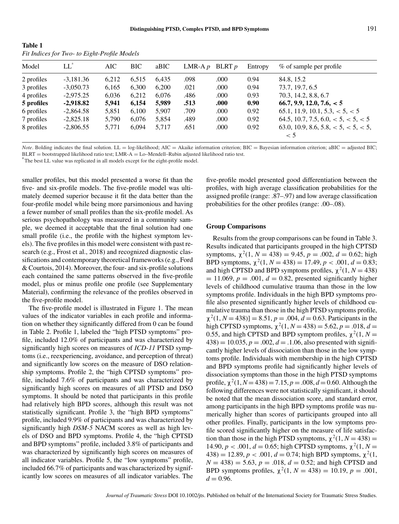| - Table 1                                    |  |
|----------------------------------------------|--|
| Fit Indices for Two- to Eight-Profile Models |  |

**Table 1** 

| Model      | $LL^a$      | AIC   | <b>BIC</b> | aBIC  | LMR-A $p$ | BLRT $p$ | Entropy | % of sample per profile                               |
|------------|-------------|-------|------------|-------|-----------|----------|---------|-------------------------------------------------------|
| 2 profiles | $-3,181.36$ | 6,212 | 6.515      | 6,435 | .098      | .000     | 0.94    | 84.8, 15.2                                            |
| 3 profiles | $-3,050.73$ | 6,165 | 6,300      | 6,200 | .021      | .000     | 0.94    | 73.7, 19.7, 6.5                                       |
| 4 profiles | $-2,975.25$ | 6,036 | 6.212      | 6.076 | .486      | .000     | 0.93    | 70.3, 14.2, 8.8, 6.7                                  |
| 5 profiles | $-2,918.82$ | 5,941 | 6,154      | 5,989 | .513      | .000     | 0.90    | 66.7, 9.9, 12.0, 7.6, < 5                             |
| 6 profiles | $-2,864.58$ | 5,851 | 6.100      | 5,907 | .709      | .000     | 0.92    | 65.1, 11.9, 10.1, 5.3, < 5, < 5                       |
| 7 profiles | $-2,825.18$ | 5,790 | 6,076      | 5,854 | .489      | .000     | 0.92    | 64.5, 10.7, 7.5, 6.0, $< 5, < 5, < 5$                 |
| 8 profiles | $-2,806.55$ | 5.771 | 6.094      | 5.717 | .651      | .000     | 0.92    | 63.0, 10.9, 8.6, 5.8, $< 5$ , $< 5$ , $< 5$ , $< 5$ , |
|            |             |       |            |       |           |          |         | $\leq 5$                                              |

*Note*. Bolding indicates the final solution. LL = log-likelihood; AIC = Akaike information criterion; BIC = Bayesian information criterion; aBIC = adjusted BIC; BLRT = bootstrapped likelihood ratio test; LMR-A = Lo–Mendell–Rubin adjusted likelihood ratio test.

<sup>1</sup>The best LL value was replicated in all models except for the eight-profile model.

smaller profiles, but this model presented a worse fit than the five- and six-profile models. The five-profile model was ultimately deemed superior because it fit the data better than the four-profile model while being more parsimonious and having a fewer number of small profiles than the six-profile model. As serious psychopathology was measured in a community sample, we deemed it acceptable that the final solution had one small profile (i.e., the profile with the highest symptom levels). The five profiles in this model were consistent with past research (e.g., Frost et al., 2018) and recognized diagnostic classifications and contemporary theoretical frameworks (e.g., Ford & Courtois, 2014). Moreover, the four- and six-profile solutions each contained the same patterns observed in the five-profile model, plus or minus profile one profile (see Supplementary Material), confirming the relevance of the profiles observed in the five-profile model.

The five-profile model is illustrated in Figure 1. The mean values of the indicator variables in each profile and information on whether they significantly differed from 0 can be found in Table 2. Profile 1, labeled the "high PTSD symptoms" profile, included 12.0% of participants and was characterized by significantly high scores on measures of *ICD-11* PTSD symptoms (i.e., reexperiencing, avoidance, and perception of threat) and significantly low scores on the measure of DSO relationship symptoms. Profile 2, the "high CPTSD symptoms" profile, included 7.6% of participants and was characterized by significantly high scores on measures of all PTSD and DSO symptoms. It should be noted that participants in this profile had relatively high BPD scores, although this result was not statistically significant. Profile 3, the "high BPD symptoms" profile, included 9.9% of participants and was characterized by significantly high *DSM-5* NACM scores as well as high levels of DSO and BPD symptoms. Profile 4, the "high CPTSD and BPD symptoms" profile, included 3.8% of participants and was characterized by significantly high scores on measures of all indicator variables. Profile 5, the "low symptoms" profile, included 66.7% of participants and was characterized by significantly low scores on measures of all indicator variables. The five-profile model presented good differentiation between the profiles, with high average classification probabilities for the assigned profile (range: .87–.97) and low average classification probabilities for the other profiles (range: .00–.08).

#### **Group Comparisons**

Results from the group comparisons can be found in Table 3. Results indicated that participants grouped in the high CPTSD symptoms,  $\chi^2(1, N = 438) = 9.45$ ,  $p = .002$ ,  $d = 0.62$ ; high BPD symptoms,  $\chi^2(1, N = 438) = 17.49$ ,  $p < .001$ ,  $d = 0.83$ ; and high CPTSD and BPD symptoms profiles,  $\chi^2(1, N = 438)$  $= 11.069$ ,  $p = .001$ ,  $d = 0.82$ , presented significantly higher levels of childhood cumulative trauma than those in the low symptoms profile. Individuals in the high BPD symptoms profile also presented significantly higher levels of childhood cumulative trauma than those in the high PTSD symptoms profile,  $\chi^2(1, N = 438)$ ] = 8.51,  $p = .004$ ,  $d = 0.63$ . Participants in the high CPTSD symptoms,  $\chi^2(1, N = 438) = 5.62, p = .018, d =$ 0.55, and high CPTSD and BPD symptom profiles,  $\chi^2(1, N =$  $(438) = 10.035, p = .002, d = .1.06$ , also presented with significantly higher levels of dissociation than those in the low symptoms profile. Individuals with membership in the high CPTSD and BPD symptoms profile had significantly higher levels of dissociation symptoms than those in the high PTSD symptoms profile,  $\chi^2(1, N = 438) = 7.15$ ,  $p = .008$ ,  $d = 0.60$ . Although the following differences were not statistically significant, it should be noted that the mean dissociation score, and standard error, among participants in the high BPD symptoms profile was numerically higher than scores of participants grouped into all other profiles. Finally, participants in the low symptoms profile scored significantly higher on the measure of life satisfaction than those in the high PTSD symptoms,  $\chi^2(1, N = 438) =$ 14.90, *p* < .001, *d* = 0.65; high CPTSD symptoms,  $χ^2(1, N =$  $(438) = 12.89, p < .001, d = 0.74$ ; high BPD symptoms,  $\chi^2(1,$  $N = 438$ ) = 5.63,  $p = .018$ ,  $d = 0.52$ ; and high CPTSD and BPD symptoms profiles,  $\chi^2(1, N = 438) = 10.19$ ,  $p = .001$ ,  $d = 0.96$ .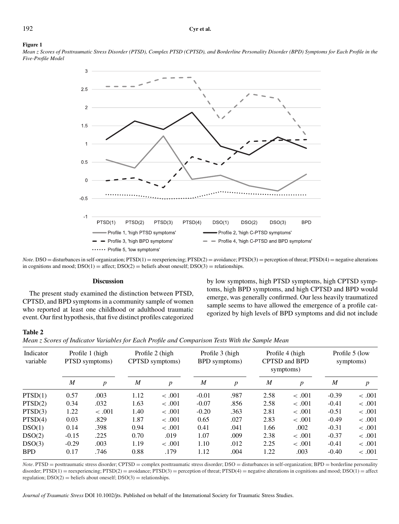#### **Figure 1**

*Mean z Scores of Posttraumatic Stress Disorder (PTSD), Complex PTSD (CPTSD), and Borderline Personality Disorder (BPD) Symptoms for Each Profile in the Five-Profile Model*



*Note*. DSO = disturbances in self-organization; PTSD(1) = reexperiencing; PTSD(2) = avoidance; PTSD(3) = perception of threat; PTSD(4) = negative alterations in cognitions and mood;  $DSO(1) =$  affect;  $DSO(2) =$  beliefs about oneself;  $DSO(3) =$  relationships.

#### **Discussion**

The present study examined the distinction between PTSD, CPTSD, and BPD symptoms in a community sample of women who reported at least one childhood or adulthood traumatic event. Our first hypothesis, that five distinct profiles categorized by low symptoms, high PTSD symptoms, high CPTSD symptoms, high BPD symptoms, and high CPTSD and BPD would emerge, was generally confirmed. Our less heavily traumatized sample seems to have allowed the emergence of a profile categorized by high levels of BPD symptoms and did not include

# **Table 2**

*Mean z Scores of Indicator Variables for Each Profile and Comparison Tests With the Sample Mean*

| Indicator<br>variable | Profile 1 (high)<br>PTSD symptoms) |                  | Profile 2 (high<br>CPTSD symptoms) |                  | Profile 3 (high<br><b>BPD</b> symptoms) |                  | Profile 4 (high<br><b>CPTSD</b> and <b>BPD</b><br>symptoms) |                  | Profile 5 (low<br>symptoms) |                  |
|-----------------------|------------------------------------|------------------|------------------------------------|------------------|-----------------------------------------|------------------|-------------------------------------------------------------|------------------|-----------------------------|------------------|
|                       | $\boldsymbol{M}$                   | $\boldsymbol{p}$ | M                                  | $\boldsymbol{p}$ | M                                       | $\boldsymbol{p}$ | $\boldsymbol{M}$                                            | $\boldsymbol{p}$ | M                           | $\boldsymbol{p}$ |
| PTSD(1)               | 0.57                               | .003             | 1.12                               | $-.001$          | $-0.01$                                 | .987             | 2.58                                                        | $-.001$          | $-0.39$                     | $-.001$          |
| PTSD(2)               | 0.34                               | .032             | 1.63                               | < .001           | $-0.07$                                 | .856             | 2.58                                                        | < .001           | $-0.41$                     | $-.001$          |
| PTSD(3)               | 1.22                               | $-.001$          | 1.40                               | < .001           | $-0.20$                                 | .363             | 2.81                                                        | $-.001$          | $-0.51$                     | $-.001$          |
| PTSD(4)               | 0.03                               | .829             | 1.87                               | < .001           | 0.65                                    | .027             | 2.83                                                        | < .001           | $-0.49$                     | $-.001$          |
| DSO(1)                | 0.14                               | .398             | 0.94                               | < .001           | 0.41                                    | .041             | 1.66                                                        | .002             | $-0.31$                     | $-.001$          |
| DSO(2)                | $-0.15$                            | .225             | 0.70                               | .019             | 1.07                                    | .009             | 2.38                                                        | < .001           | $-0.37$                     | $-.001$          |
| DSO(3)                | $-0.29$                            | .003             | 1.19                               | $-.001$          | 1.10                                    | .012             | 2.25                                                        | < .001           | $-0.41$                     | < 0.001          |
| <b>BPD</b>            | 0.17                               | .746             | 0.88                               | .179             | 1.12                                    | .004             | 1.22                                                        | .003             | $-0.40$                     | < 0.001          |

*Note*. PTSD = posttraumatic stress disorder; CPTSD = complex posttraumatic stress disorder; DSO = disturbances in self-organization; BPD = borderline personality disorder;  $PTSD(1)$  = reexperiencing;  $PTSD(2)$  = avoidance;  $PTSD(3)$  = perception of threat;  $PTSD(4)$  = negative alterations in cognitions and mood;  $DSO(1)$  = affect regulation;  $DSO(2) =$  beliefs about oneself;  $DSO(3) =$  relationships.

*Journal of Traumatic Stress* DOI 10.1002/jts. Published on behalf of the International Society for Traumatic Stress Studies.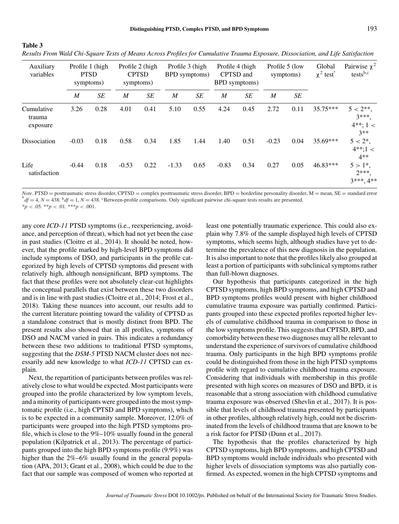| Auxiliary<br>variables           | Profile 1 (high<br><b>PTSD</b><br>symptoms) |      | Profile 2 (high<br><b>CPTSD</b><br>symptoms) |      | Profile 3 (high<br><b>BPD</b> symptoms) |      | Profile 4 (high<br>CPTSD and<br><b>BPD</b> symptoms) |      | Profile 5 (low<br>symptoms) |      | Global<br>$\chi^2$ test <sup>a</sup> | Pairwise $\chi^2$<br>tests <sup>b,c</sup>  |
|----------------------------------|---------------------------------------------|------|----------------------------------------------|------|-----------------------------------------|------|------------------------------------------------------|------|-----------------------------|------|--------------------------------------|--------------------------------------------|
|                                  | M                                           | SE   | M                                            | SE   | M                                       | SE   | $\boldsymbol{M}$                                     | SE   | M                           | SE   |                                      |                                            |
| Cumulative<br>trauma<br>exposure | 3.26                                        | 0.28 | 4.01                                         | 0.41 | 5.10                                    | 0.55 | 4.24                                                 | 0.45 | 2.72                        | 0.11 | 35.75***                             | $5 < 2**$<br>$3***$ .<br>$4**:1<$<br>$3**$ |
| Dissociation                     | $-0.03$                                     | 0.18 | 0.58                                         | 0.34 | 1.85                                    | 1.44 | 1.40                                                 | 0.51 | $-0.23$                     | 0.04 | 35.69***                             | $5 < 2^*$ ,<br>$4**:1<$<br>$4**$           |
| Life<br>satisfaction             | $-0.44$                                     | 0.18 | $-0.53$                                      | 0.22 | $-1.33$                                 | 0.65 | $-0.83$                                              | 0.34 | 0.27                        | 0.05 | 46.83***                             | $5 > 1^*$ ,<br>$2***$<br>3***, 4**         |

*Results From Wald Chi-Square Tests of Means Across Profiles for Cumulative Trauma Exposure, Dissociation, and Life Satisfaction*

*Note*. PTSD = posttraumatic stress disorder, CPTSD = complex posttraumatic stress disorder, BPD = borderline personality disorder, M = mean, SE = standard error  $d_f = 4$ ,  $N = 438$ .  $b_f = 1$ ,  $N = 438$ . CBetween-profile comparisons. Only significant pairwise chi-square tests results are presented.

 $**p* < .05. ***p* < .01. ****p* < .001.$ 

**Table 3**

any core *ICD-11* PTSD symptoms (i.e., reexperiencing, avoidance, and perception of threat), which had not yet been the case in past studies (Cloitre et al., 2014). It should be noted, however, that the profile marked by high-level BPD symptoms did include symptoms of DSO, and participants in the profile categorized by high levels of CPTSD symptoms did present with relatively high, although nonsignificant, BPD symptoms. The fact that these profiles were not absolutely clear-cut highlights the conceptual parallels that exist between these two disorders and is in line with past studies (Cloitre et al., 2014; Frost et al., 2018). Taking these nuances into account, our results add to the current literature pointing toward the validity of CPTSD as a standalone construct that is mostly distinct from BPD. The present results also showed that in all profiles, symptoms of DSO and NACM varied in pairs. This indicates a redundancy between these two additions to traditional PTSD symptoms, suggesting that the *DSM-5* PTSD NACM cluster does not necessarily add new knowledge to what *ICD-11* CPTSD can explain.

Next, the repartition of participants between profiles was relatively close to what would be expected. Most participants were grouped into the profile characterized by low symptom levels, and a minority of participants were grouped into the most symptomatic profile (i.e., high CPTSD and BPD symptoms), which is to be expected in a community sample. Moreover, 12.0% of participants were grouped into the high PTSD symptoms profile, which is close to the 9%–10% usually found in the general population (Kilpatrick et al., 2013). The percentage of participants grouped into the high BPD symptoms profile (9.9%) was higher than the  $2\% - 6\%$  usually found in the general population (APA, 2013; Grant et al., 2008), which could be due to the fact that our sample was composed of women who reported at least one potentially traumatic experience. This could also explain why 7.8% of the sample displayed high levels of CPTSD symptoms, which seems high, although studies have yet to determine the prevalence of this new diagnosis in the population. It is also important to note that the profiles likely also grouped at least a portion of participants with subclinical symptoms rather than full-blown diagnoses.

Our hypothesis that participants categorized in the high CPTSD symptoms, high BPD symptoms, and high CPTSD and BPD symptoms profiles would present with higher childhood cumulative trauma exposure was partially confirmed. Participants grouped into these expected profiles reported higher levels of cumulative childhood trauma in comparison to those in the low symptoms profile. This suggests that CPTSD, BPD, and comorbidity between these two diagnoses may all be relevant to understand the experience of survivors of cumulative childhood trauma. Only participants in the high BPD symptoms profile could be distinguished from those in the high PTSD symptoms profile with regard to cumulative childhood trauma exposure. Considering that individuals with membership in this profile presented with high scores on measures of DSO and BPD, it is reasonable that a strong association with childhood cumulative trauma exposure was observed (Shevlin et al., 2017). It is possible that levels of childhood trauma presented by participants in other profiles, although relatively high, could not be discriminated from the levels of childhood trauma that are known to be a risk factor for PTSD (Dunn et al., 2017).

The hypothesis that the profiles characterized by high CPTSD symptoms, high BPD symptoms, and high CPTSD and BPD symptoms would include individuals who presented with higher levels of dissociation symptoms was also partially confirmed. As expected, women in the high CPTSD symptoms and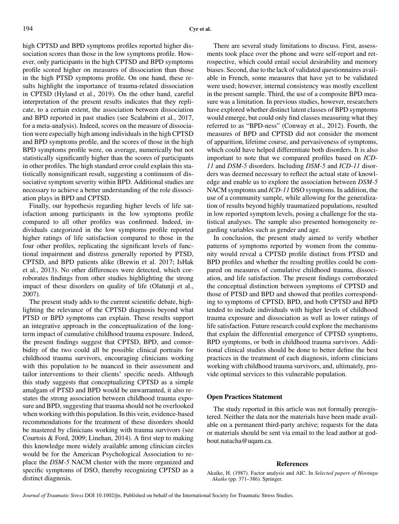high CPTSD and BPD symptoms profiles reported higher dissociation scores than those in the low symptoms profile. However, only participants in the high CPTSD and BPD symptoms profile scored higher on measures of dissociation than those in the high PTSD symptoms profile. On one hand, these results highlight the importance of trauma-related dissociation in CPTSD (Hyland et al., 2019). On the other hand, careful interpretation of the present results indicates that they replicate, to a certain extent, the association between dissociation and BPD reported in past studies (see Scalabrini et al., 2017, for a meta-analysis). Indeed, scores on the measure of dissociation were especially high among individuals in the high CPTSD and BPD symptoms profile, and the scores of those in the high BPD symptoms profile were, on average, numerically but not statistically significantly higher than the scores of participants in other profiles. The high standard error could explain this statistically nonsignificant result, suggesting a continuum of dissociative symptom severity within BPD. Additional studies are necessary to achieve a better understanding of the role dissociation plays in BPD and CPTSD.

Finally, our hypothesis regarding higher levels of life satisfaction among participants in the low symptoms profile compared to all other profiles was confirmed. Indeed, individuals categorized in the low symptoms profile reported higher ratings of life satisfaction compared to those in the four other profiles, replicating the significant levels of functional impairment and distress generally reported by PTSD, CPTSD, and BPD patients alike (Brewin et al. 2017; IsHak et al., 2013). No other differences were detected, which corroborates findings from other studies highlighting the strong impact of these disorders on quality of life (Olatunji et al., 2007).

The present study adds to the current scientific debate, highlighting the relevance of the CPTSD diagnosis beyond what PTSD or BPD symptoms can explain. These results support an integrative approach in the conceptualization of the longterm impact of cumulative childhood trauma exposure. Indeed, the present findings suggest that CPTSD, BPD, and comorbidity of the two could all be possible clinical portraits for childhood trauma survivors, encouraging clinicians working with this population to be nuanced in their assessment and tailor interventions to their clients' specific needs. Although this study suggests that conceptualizing CPTSD as a simple amalgam of PTSD and BPD would be unwarranted, it also restates the strong association between childhood trauma exposure and BPD, suggesting that trauma should not be overlooked when working with this population. In this vein, evidence-based recommendations for the treatment of these disorders should be mastered by clinicians working with trauma survivors (see Courtois & Ford, 2009; Linehan, 2014). A first step to making this knowledge more widely available among clinician circles would be for the American Psychological Association to replace the *DSM-5* NACM cluster with the more organized and specific symptoms of DSO, thereby recognizing CPTSD as a distinct diagnosis.

There are several study limitations to discuss. First, assessments took place over the phone and were self-report and retrospective, which could entail social desirability and memory biases. Second, due to the lack of validated questionnaires available in French, some measures that have yet to be validated were used; however, internal consistency was mostly excellent in the present sample. Third, the use of a composite BPD measure was a limitation. In previous studies, however, researchers have explored whether distinct latent classes of BPD symptoms would emerge, but could only find classes measuring what they referred to as "BPD-ness" (Conway et al., 2012). Fourth, the measures of BPD and CPTSD did not consider the moment of apparition, lifetime course, and pervasiveness of symptoms, which could have helped differentiate both disorders. It is also important to note that we compared profiles based on *ICD-11* and *DSM-5* disorders. Including *DSM-5* and *ICD-11* disorders was deemed necessary to reflect the actual state of knowledge and enable us to explore the association between *DSM-5* NACM symptoms and *ICD-11* DSO symptoms. In addition, the use of a community sample, while allowing for the generalization of results beyond highly traumatized populations, resulted in low reported symptom levels, posing a challenge for the statistical analyses. The sample also presented homogeneity regarding variables such as gender and age.

In conclusion, the present study aimed to verify whether patterns of symptoms reported by women from the community would reveal a CPTSD profile distinct from PTSD and BPD profiles and whether the resulting profiles could be compared on measures of cumulative childhood trauma, dissociation, and life satisfaction. The present findings corroborated the conceptual distinction between symptoms of CPTSD and those of PTSD and BPD and showed that profiles corresponding to symptoms of CPTSD, BPD, and both CPTSD and BPD tended to include individuals with higher levels of childhood trauma exposure and dissociation as well as lower ratings of life satisfaction. Future research could explore the mechanisms that explain the differential emergence of CPTSD symptoms, BPD symptoms, or both in childhood trauma survivors. Additional clinical studies should be done to better define the best practices in the treatment of each diagnosis, inform clinicians working with childhood trauma survivors, and, ultimately, provide optimal services to this vulnerable population.

# **Open Practices Statement**

The study reported in this article was not formally preregistered. Neither the data nor the materials have been made available on a permanent third-party archive; requests for the data or materials should be sent via email to the lead author at godbout.natacha@uqam.ca.

#### **References**

Akaike, H. (1987). Factor analysis and AIC. In *Selected papers of Hirotugu Akaike* (pp. 371–386). Springer.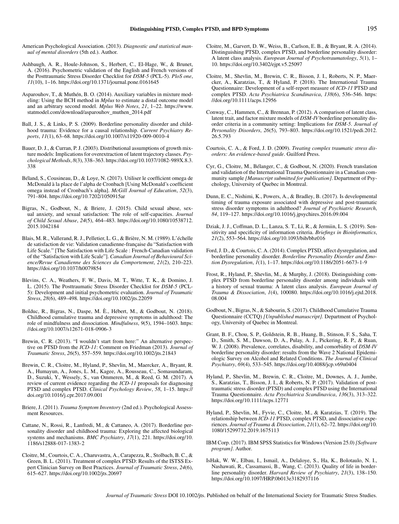- American Psychological Association. (2013). *Diagnostic and statistical manual of mental disorders* (5th ed.). Author.
- Ashbaugh, A. R., Houle-Johnson, S., Herbert, C., El-Hage, W., & Brunet, A. (2016). Psychometric validation of the English and French versions of the Posttraumatic Stress Disorder Checklist for *DSM-5* (PCL-5). *PloS one*, *11*(10), 1–16.<https://doi.org/10.1371/journal.pone.0161645>
- Asparouhov, T., & Muthén, B. O. (2014). Auxiliary variables in mixture modeling: Using the BCH method in *Mplus* to estimate a distal outcome model and an arbitrary second model. *Mplus Web Notes*, *21*, 1–22. [https://www.](https://www.statmodel.com/download/asparouhov_muthen_2014.pdf) [statmodel.com/download/asparouhov\\_muthen\\_2014.pdf](https://www.statmodel.com/download/asparouhov_muthen_2014.pdf)
- Ball, J. S., & Links, P. S. (2009). Borderline personality disorder and childhood trauma: Evidence for a causal relationship. *Current Psychiatry Reports*, *11*(1), 63–68.<https://doi.org/10.1007/s11920-009-0010-4>
- Bauer, D. J., & Curran, P. J. (2003). Distributional assumptions of growth mixture models: Implications for overextraction of latent trajectory classes. *Psychological Methods*, *8*(3), 338–363. [https://doi.org/10.1037/1082-989X.8.3.](https://doi.org/10.1037/1082-989X.8.3.338) [338](https://doi.org/10.1037/1082-989X.8.3.338)
- Béland, S., Cousineau, D., & Loye, N. (2017). Utiliser le coefficient omega de McDonald à la place de l'alpha de Cronbach [Using McDonald's coefficient omega instead of Cronbach's alpha]. *McGill Journal of Education*, *52*(3), 791–804.<https://doi.org/10.7202/1050915ar>
- Bigras, N., Godbout, N., & Briere, J. (2015). Child sexual abuse, sexual anxiety, and sexual satisfaction: The role of self-capacities. *Journal of Child Sexual Abuse*, *24*(5), 464–483. [https://doi.org/10.1080/10538712.](https://doi.org/10.1080/10538712.2015.1042184) [2015.1042184](https://doi.org/10.1080/10538712.2015.1042184)
- Blais, M. R., Vallerand, R. J., Pelletier, L. G., & Brière, N. M. (1989). L'échelle de satisfaction de vie: Validation canadienne-française du "Satisfaction with Life Scale." [The Satisfaction with Life Scale : French-Canadian validation of the "Satisfaction with Life Scale"]. *Canadian Journal of Behavioural Science/Revue Canadienne des Sciences du Comportement*, *21*(2), 210–223. <https://doi.org/10.1037/h0079854>
- Blevins, C. A., Weathers, F. W., Davis, M. T., Witte, T. K., & Domino, J. L. (2015). The Posttraumatic Stress Disorder Checklist for *DSM-5* (PCL-5): Development and initial psychometric evaluation. *Journal of Traumatic Stress*, *28*(6), 489–498.<https://doi.org/10.1002/jts.22059>
- Bolduc, R., Bigras, N., Daspe, M. È., Hébert, M., & Godbout, N. (2018). Childhood cumulative trauma and depressive symptoms in adulthood: The role of mindfulness and dissociation. *Mindfulness*, *9*(5), 1594–1603. [https:](https://doi.org/10.1007/s12671-018-0906-3) [//doi.org/10.1007/s12671-018-0906-3](https://doi.org/10.1007/s12671-018-0906-3)
- Brewin, C. R. (2013). "I wouldn't start from here:" An alternative perspective on PTSD from the *ICD-11*: Comment on Friedman (2013). *Journal of Traumatic Stress*, *26*(5), 557–559.<https://doi.org/10.1002/jts.21843>
- Brewin, C. R., Cloitre, M., Hyland, P., Shevlin, M., Maercker, A., Bryant, R. A., Humayun, A., Jones, L. M., Kagee, A., Rousseau, C., Somasundaram, D., Suzuki, Y., Wessely, S., van Ommeren, M., & Reed, G. M. (2017). A review of current evidence regarding the *ICD-11* proposals for diagnosing PTSD and complex PTSD. *Clinical Psychology Review*, *58*, 1–15. [https://](https://doi.org/10.1016/j.cpr.2017.09.001) [doi.org/10.1016/j.cpr.2017.09.001](https://doi.org/10.1016/j.cpr.2017.09.001)
- Briere, J. (2011). *Trauma Symptom Inventory* (2nd ed.). Psychological Assessment Resources.
- Cattane, N., Rossi, R., Lanfredi, M., & Cattaneo, A. (2017). Borderline personality disorder and childhood trauma: Exploring the affected biological systems and mechanisms. *BMC Psychiatry*, *17*(1), 221. [https://doi.org/10.](https://doi.org/10.1186/s12888-017-1383-2) [1186/s12888-017-1383-2](https://doi.org/10.1186/s12888-017-1383-2)
- Cloitre, M., Courtois, C. A., Charuvastra, A., Carapezza, R., Stolbach, B. C., & Green, B. L. (2011). Treatment of complex PTSD: Results of the ISTSS Expert Clinician Survey on Best Practices. *Journal of Traumatic Stress*, *24*(6), 615–627.<https://doi.org/10.1002/jts.20697>
- Cloitre, M., Garvert, D. W., Weiss, B., Carlson, E. B., & Bryant, R. A. (2014). Distinguishing PTSD, complex PTSD, and borderline personality disorder: A latent class analysis. *European Journal of Psychotraumatology*, *5*(1), 1– 10.<https://doi.org/10.3402/ejpt.v5.25097>
- Cloitre, M., Shevlin, M., Brewin, C. R., Bisson, J. I., Roberts, N. P., Maercker, A., Karatzias, T., & Hyland, P. (2018). The International Trauma Questionnaire: Development of a self-report measure of *ICD*-*11* PTSD and complex PTSD. *Acta Psychiatrica Scandinavica*, *138*(6), 536–546. [https:](https://doi.org/10.1111/acps.12956) [//doi.org/10.1111/acps.12956](https://doi.org/10.1111/acps.12956)
- Conway, C., Hammen, C., & Brennan, P. (2012). A comparison of latent class, latent trait, and factor mixture models of *DSM-IV* borderline personality disorder criteria in a community setting: Implications for *DSM-5*. *Journal of Personality Disorders*, *26*(5), 793–803. [https://doi.org/10.1521/pedi.2012.](https://doi.org/10.1521/pedi.2012.26.5.793) [26.5.793](https://doi.org/10.1521/pedi.2012.26.5.793)
- Courtois, C. A., & Ford, J. D. (2009). *Treating complex traumatic stress disorders: An evidence-based guide*. Guilford Press.
- Cyr, G., Cloitre, M., Bélanger, C., & Godbout, N. (2020). French translation and validation of the International Trauma Questionnaire in a Canadian community sample *[Manuscript submitted for publication]*. Department of Psychology, University of Quebec in Montreal.
- Dunn, E. C., Nishimi, K., Powers, A., & Bradley, B. (2017). Is developmental timing of trauma exposure associated with depressive and post-traumatic stress disorder symptoms in adulthood? *Journal of Psychiatric Research*, *84*, 119–127.<https://doi.org/10.1016/j.jpsychires.2016.09.004>
- Dziak, J. J., Coffman, D. L., Lanza, S. T., Li, R., & Jermiin, L. S. (2019). Sensitivity and specificity of information criteria. *Briefings in Bioinformatics*, *21*(2), 553–564.<https://doi.org/10.1093/bib/bbz016>
- Ford, J. D., & Courtois, C. A. (2014). Complex PTSD, affect dysregulation, and borderline personality disorder. *Borderline Personality Disorder and Emotion Dysregulation*, *1*(1), 1–17.<https://doi.org/10.1186/2051-6673-1-9>
- Frost, R., Hyland, P., Shevlin, M., & Murphy, J. (2018). Distinguishing complex PTSD from borderline personality disorder among individuals with a history of sexual trauma: A latent class analysis. *European Journal of Trauma & Dissociation*, *1*(4), 100080. [https://doi.org/10.1016/j.ejtd.2018.](https://doi.org/10.1016/j.ejtd.2018.08.004) [08.004](https://doi.org/10.1016/j.ejtd.2018.08.004)
- Godbout, N., Bigras, N., & Sabourin, S. (2017). Childhood Cumulative Trauma Questionnaire (CCTQ) *[Unpublished manuscript]*. Department of Psychology, University of Quebec in Montreal.
- Grant, B. F., Chou, S. P., Goldstein, R. B., Huang, B., Stinson, F. S., Saha, T. D., Smith, S. M., Dawson, D. A., Pulay, A. J., Pickering, R. P., & Ruan, W. J. (2008). Prevalence, correlates, disability, and comorbidity of *DSM-IV* borderline personality disorder: results from the Wave 2 National Epidemiologic Survey on Alcohol and Related Conditions. *The Journal of Clinical Psychiatry*, *69*(4), 533–545.<https://doi.org/10.4088/jcp.v69n0404>
- Hyland, P., Shevlin, M., Brewin, C. R., Cloitre, M., Downes, A. J., Jumbe, S., Karatzias, T., Bisson, J. I., & Roberts, N. P. (2017). Validation of posttraumatic stress disorder (PTSD) and complex PTSD using the International Trauma Questionnaire. *Acta Psychiatrica Scandinavica*, *136*(3), 313–322. <https://doi.org/10.1111/acps.12771>
- Hyland, P., Shevlin, M., Fyvie, C., Cloitre, M., & Karatzias, T. (2019). The relationship between *ICD-11* PTSD, complex PTSD, and dissociative experiences. *Journal of Trauma & Dissociation*, *21*(1), 62–72. [https://doi.org/10.](https://doi.org/10.1080/15299732.2019.1675113) [1080/15299732.2019.1675113](https://doi.org/10.1080/15299732.2019.1675113)
- IBM Corp. (2017). IBM SPSS Statistics for Windows (Version 25.0)*[Software program]*. Author.
- IsHak, W. W., Elbau, I., Ismail, A., Delaloye, S., Ha, K., Bolotaulo, N. I., Nashawati, R., Cassamassi, B., Wang, C. (2013). Quality of life in borderline personality disorder. *Harvard Review of Psychiatry*, *21*(3), 138–150. <https://doi.org/10.1097/HRP.0b013e3182937116>